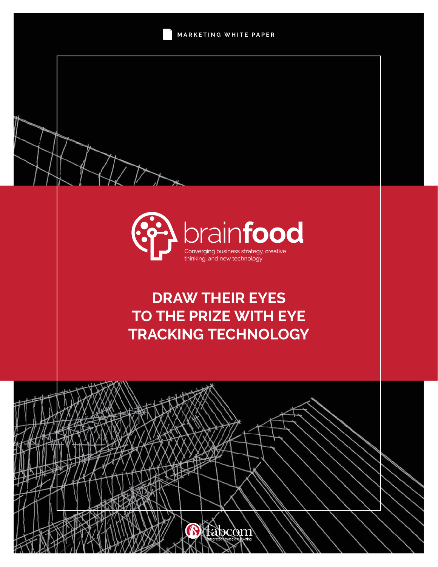



# **DRAW THEIR EYES TO THE PRIZE WITH EYE TRACKING TECHNOLOGY**

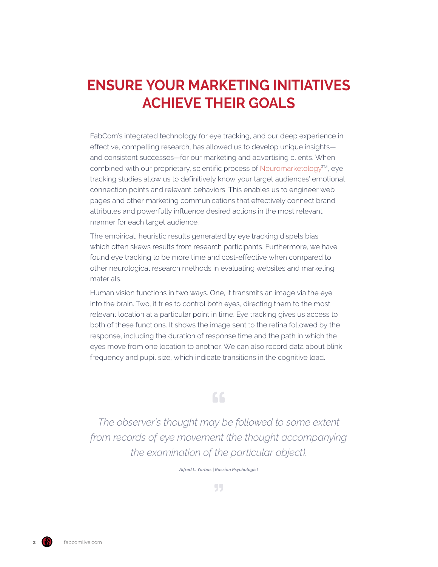## **ENSURE YOUR MARKETING INITIATIVES ACHIEVE THEIR GOALS**

FabCom's integrated technology for eye tracking, and our deep experience in effective, compelling research, has allowed us to develop unique insights and consistent successes—for our marketing and advertising clients. When combined with our proprietary, scientific process of [Neuromarketology](https://www.neuromarketology.com/)™, eye tracking studies allow us to definitively know your target audiences' emotional connection points and relevant behaviors. This enables us to engineer web pages and other marketing communications that effectively connect brand attributes and powerfully influence desired actions in the most relevant manner for each target audience.

The empirical, heuristic results generated by eye tracking dispels bias which often skews results from research participants. Furthermore, we have found eye tracking to be more time and cost-effective when compared to other neurological research methods in evaluating websites and marketing materials.

Human vision functions in two ways. One, it transmits an image via the eye into the brain. Two, it tries to control both eyes, directing them to the most relevant location at a particular point in time. Eye tracking gives us access to both of these functions. It shows the image sent to the retina followed by the response, including the duration of response time and the path in which the eyes move from one location to another. We can also record data about blink frequency and pupil size, which indicate transitions in the cognitive load.

### 66

*The observer's thought may be followed to some extent from records of eye movement (the thought accompanying the examination of the particular object).*

*Alfred L. Yarbus | Russian Psychologist*

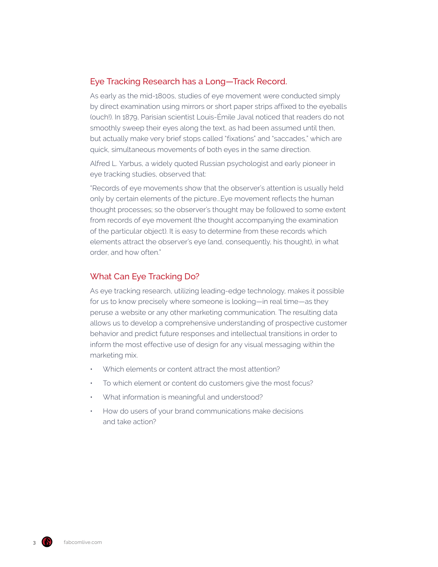#### Eye Tracking Research has a Long—Track Record.

As early as the mid-1800s, studies of eye movement were conducted simply by direct examination using mirrors or short paper strips affixed to the eyeballs (ouch!). In 1879, Parisian scientist Louis-Émile Javal noticed that readers do not smoothly sweep their eyes along the text, as had been assumed until then, but actually make very brief stops called "fixations" and "saccades," which are quick, simultaneous movements of both eyes in the same direction.

Alfred L. Yarbus, a widely quoted Russian psychologist and early pioneer in eye tracking studies, observed that:

"Records of eye movements show that the observer's attention is usually held only by certain elements of the picture...Eye movement reflects the human thought processes; so the observer's thought may be followed to some extent from records of eye movement (the thought accompanying the examination of the particular object). It is easy to determine from these records which elements attract the observer's eye (and, consequently, his thought), in what order, and how often."

#### What Can Eye Tracking Do?

As eye tracking research, utilizing leading-edge technology, makes it possible for us to know precisely where someone is looking—in real time—as they peruse a website or any other marketing communication. The resulting data allows us to develop a comprehensive understanding of prospective customer behavior and predict future responses and intellectual transitions in order to inform the most effective use of design for any visual messaging within the marketing mix.

- Which elements or content attract the most attention?
- To which element or content do customers give the most focus?
- What information is meaningful and understood?
- How do users of your brand communications make decisions and take action?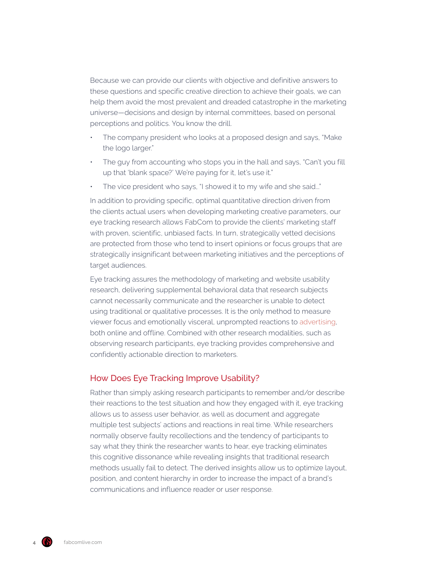Because we can provide our clients with objective and definitive answers to these questions and specific creative direction to achieve their goals, we can help them avoid the most prevalent and dreaded catastrophe in the marketing universe—decisions and design by internal committees, based on personal perceptions and politics. You know the drill.

- The company president who looks at a proposed design and says, "Make the logo larger."
- The guy from accounting who stops you in the hall and says, "Can't you fill up that 'blank space?' We're paying for it, let's use it."
- The vice president who says, "I showed it to my wife and she said..."

In addition to providing specific, optimal quantitative direction driven from the clients actual users when developing marketing creative parameters, our eye tracking research allows FabCom to provide the clients' marketing staff with proven, scientific, unbiased facts. In turn, strategically vetted decisions are protected from those who tend to insert opinions or focus groups that are strategically insignificant between marketing initiatives and the perceptions of target audiences.

Eye tracking assures the methodology of marketing and website usability research, delivering supplemental behavioral data that research subjects cannot necessarily communicate and the researcher is unable to detect using traditional or qualitative processes. It is the only method to measure viewer focus and emotionally visceral, unprompted reactions to [advertising](https://www.fabcomlive.com/phoenix-marketing-advertising-agency-services/advertising-and-marketing-services), both online and offline. Combined with other research modalities, such as observing research participants, eye tracking provides comprehensive and confidently actionable direction to marketers.

#### How Does Eye Tracking Improve Usability?

Rather than simply asking research participants to remember and/or describe their reactions to the test situation and how they engaged with it, eye tracking allows us to assess user behavior, as well as document and aggregate multiple test subjects' actions and reactions in real time. While researchers normally observe faulty recollections and the tendency of participants to say what they think the researcher wants to hear, eye tracking eliminates this cognitive dissonance while revealing insights that traditional research methods usually fail to detect. The derived insights allow us to optimize layout, position, and content hierarchy in order to increase the impact of a brand's communications and influence reader or user response.

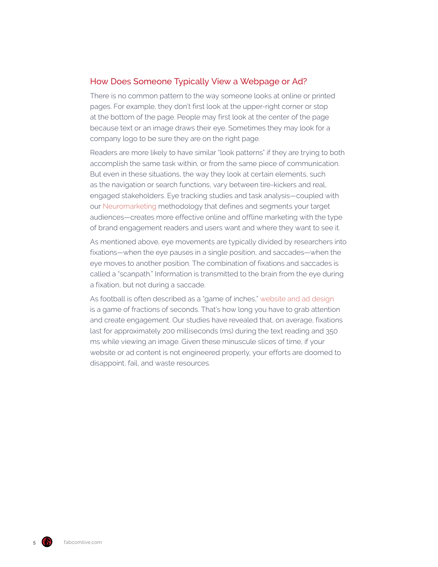#### How Does Someone Typically View a Webpage or Ad?

There is no common pattern to the way someone looks at online or printed pages. For example, they don't first look at the upper-right corner or stop at the bottom of the page. People may first look at the center of the page because text or an image draws their eye. Sometimes they may look for a company logo to be sure they are on the right page.

Readers are more likely to have similar "look patterns" if they are trying to both accomplish the same task within, or from the same piece of communication. But even in these situations, the way they look at certain elements, such as the navigation or search functions, vary between tire-kickers and real, engaged stakeholders. Eye tracking studies and task analysis—coupled with our [Neuromarketing](https://www.neuromarketology.com/) methodology that defines and segments your target audiences—creates more effective online and offline marketing with the type of brand engagement readers and users want and where they want to see it.

As mentioned above, eye movements are typically divided by researchers into fixations—when the eye pauses in a single position, and saccades—when the eye moves to another position. The combination of fixations and saccades is called a "scanpath." Information is transmitted to the brain from the eye during a fixation, but not during a saccade.

As football is often described as a "game of inches," [website and ad design](https://www.fabcomlive.com/phoenix-marketing-advertising-agency-services/website-development-and-ecommerce-development) is a game of fractions of seconds. That's how long you have to grab attention and create engagement. Our studies have revealed that, on average, fixations last for approximately 200 milliseconds (ms) during the text reading and 350 ms while viewing an image. Given these minuscule slices of time, if your website or ad content is not engineered properly, your efforts are doomed to disappoint, fail, and waste resources.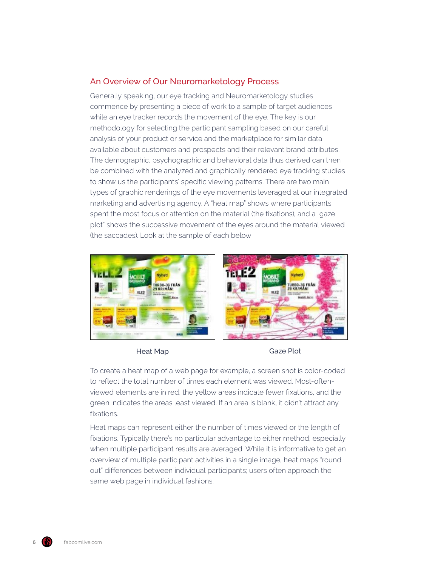#### An Overview of Our Neuromarketology Process

Generally speaking, our eye tracking and Neuromarketology studies commence by presenting a piece of work to a sample of target audiences while an eye tracker records the movement of the eye. The key is our methodology for selecting the participant sampling based on our careful analysis of your product or service and the marketplace for similar data available about customers and prospects and their relevant brand attributes. The demographic, psychographic and behavioral data thus derived can then be combined with the analyzed and graphically rendered eye tracking studies to show us the participants' specific viewing patterns. There are two main types of graphic renderings of the eye movements leveraged at our integrated marketing and advertising agency. A "heat map" shows where participants spent the most focus or attention on the material (the fixations), and a "gaze plot" shows the successive movement of the eyes around the material viewed (the saccades). Look at the sample of each below:



Heat Map Gaze Plot

To create a heat map of a web page for example, a screen shot is color-coded to reflect the total number of times each element was viewed. Most-oftenviewed elements are in red, the yellow areas indicate fewer fixations, and the green indicates the areas least viewed. If an area is blank, it didn't attract any fixations.

Heat maps can represent either the number of times viewed or the length of fixations. Typically there's no particular advantage to either method, especially when multiple participant results are averaged. While it is informative to get an overview of multiple participant activities in a single image, heat maps "round out" differences between individual participants; users often approach the same web page in individual fashions.

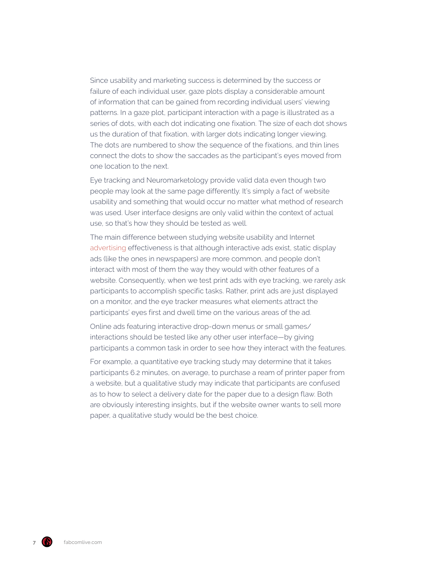Since usability and marketing success is determined by the success or failure of each individual user, gaze plots display a considerable amount of information that can be gained from recording individual users' viewing patterns. In a gaze plot, participant interaction with a page is illustrated as a series of dots, with each dot indicating one fixation. The size of each dot shows us the duration of that fixation, with larger dots indicating longer viewing. The dots are numbered to show the sequence of the fixations, and thin lines connect the dots to show the saccades as the participant's eyes moved from one location to the next.

Eye tracking and Neuromarketology provide valid data even though two people may look at the same page differently. It's simply a fact of website usability and something that would occur no matter what method of research was used. User interface designs are only valid within the context of actual use, so that's how they should be tested as well.

The main difference between studying website usability and Internet [advertising](https://www.fabcomlive.com/phoenix-marketing-advertising-agency-services/advertising-and-marketing-services) effectiveness is that although interactive ads exist, static display ads (like the ones in newspapers) are more common, and people don't interact with most of them the way they would with other features of a website. Consequently, when we test print ads with eye tracking, we rarely ask participants to accomplish specific tasks. Rather, print ads are just displayed on a monitor, and the eye tracker measures what elements attract the participants' eyes first and dwell time on the various areas of the ad.

Online ads featuring interactive drop-down menus or small games/ interactions should be tested like any other user interface—by giving participants a common task in order to see how they interact with the features.

For example, a quantitative eye tracking study may determine that it takes participants 6.2 minutes, on average, to purchase a ream of printer paper from a website, but a qualitative study may indicate that participants are confused as to how to select a delivery date for the paper due to a design flaw. Both are obviously interesting insights, but if the website owner wants to sell more paper, a qualitative study would be the best choice.

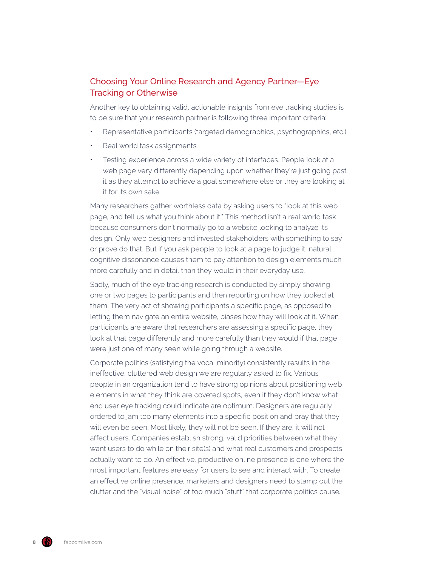### Choosing Your Online Research and Agency Partner—Eye Tracking or Otherwise

Another key to obtaining valid, actionable insights from eye tracking studies is to be sure that your research partner is following three important criteria:

- Representative participants (targeted demographics, psychographics, etc.)
- Real world task assignments
- Testing experience across a wide variety of interfaces. People look at a web page very differently depending upon whether they're just going past it as they attempt to achieve a goal somewhere else or they are looking at it for its own sake.

Many researchers gather worthless data by asking users to "look at this web page, and tell us what you think about it." This method isn't a real world task because consumers don't normally go to a website looking to analyze its design. Only web designers and invested stakeholders with something to say or prove do that. But if you ask people to look at a page to judge it, natural cognitive dissonance causes them to pay attention to design elements much more carefully and in detail than they would in their everyday use.

Sadly, much of the eye tracking research is conducted by simply showing one or two pages to participants and then reporting on how they looked at them. The very act of showing participants a specific page, as opposed to letting them navigate an entire website, biases how they will look at it. When participants are aware that researchers are assessing a specific page, they look at that page differently and more carefully than they would if that page were just one of many seen while going through a website.

Corporate politics (satisfying the vocal minority) consistently results in the ineffective, cluttered web design we are regularly asked to fix. Various people in an organization tend to have strong opinions about positioning web elements in what they think are coveted spots, even if they don't know what end user eye tracking could indicate are optimum. Designers are regularly ordered to jam too many elements into a specific position and pray that they will even be seen. Most likely, they will not be seen. If they are, it will not affect users. Companies establish strong, valid priorities between what they want users to do while on their site(s) and what real customers and prospects actually want to do. An effective, productive online presence is one where the most important features are easy for users to see and interact with. To create an effective online presence, marketers and designers need to stamp out the clutter and the "visual noise" of too much "stuff" that corporate politics cause.